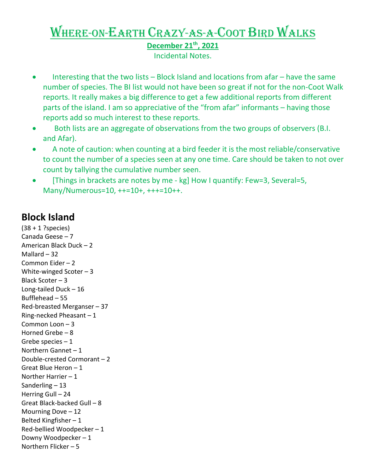## Where-on-Earth Crazy-as-a-Coot Bird Walks

**December 21th, 2021** 

Incidental Notes.

- Interesting that the two lists Block Island and locations from afar have the same number of species. The BI list would not have been so great if not for the non-Coot Walk reports. It really makes a big difference to get a few additional reports from different parts of the island. I am so appreciative of the "from afar" informants – having those reports add so much interest to these reports.
- Both lists are an aggregate of observations from the two groups of observers (B.I. and Afar).
- A note of caution: when counting at a bird feeder it is the most reliable/conservative to count the number of a species seen at any one time. Care should be taken to not over count by tallying the cumulative number seen.
- [Things in brackets are notes by me kg] How I quantify: Few=3, Several=5, Many/Numerous=10, ++=10+, +++=10++.

## **Block Island**

(38 + 1 ?species) Canada Geese – 7 American Black Duck – 2 Mallard – 32 Common Eider – 2 White-winged Scoter – 3 Black Scoter – 3 Long-tailed Duck – 16 Bufflehead – 55 Red-breasted Merganser – 37 Ring-necked Pheasant  $-1$ Common Loon – 3 Horned Grebe – 8 Grebe species  $-1$ Northern Gannet – 1 Double-crested Cormorant – 2 Great Blue Heron – 1 Norther Harrier – 1 Sanderling – 13 Herring Gull – 24 Great Black-backed Gull – 8 Mourning Dove – 12 Belted Kingfisher – 1 Red-bellied Woodpecker – 1 Downy Woodpecker – 1 Northern Flicker – 5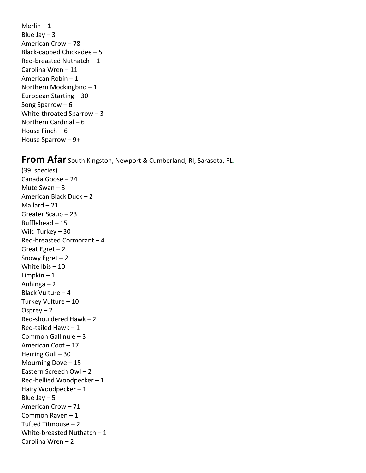Merlin – 1 Blue Jay  $-3$ American Crow – 78 Black-capped Chickadee – 5 Red-breasted Nuthatch – 1 Carolina Wren – 11 American Robin – 1 Northern Mockingbird – 1 European Starting – 30 Song Sparrow – 6 White-throated Sparrow – 3 Northern Cardinal – 6 House Finch – 6 House Sparrow – 9+

## **From Afar** South Kingston, Newport & Cumberland, RI; Sarasota, FL.

(39 species) Canada Goose – 24 Mute Swan – 3 American Black Duck – 2 Mallard – 21 Greater Scaup – 23 Bufflehead – 15 Wild Turkey – 30 Red-breasted Cormorant – 4 Great Egret  $-2$ Snowy Egret – 2 White Ibis – 10 Limpkin – 1 Anhinga – 2 Black Vulture – 4 Turkey Vulture – 10 Osprey  $-2$ Red-shouldered Hawk – 2 Red-tailed Hawk – 1 Common Gallinule – 3 American Coot – 17 Herring Gull – 30 Mourning Dove – 15 Eastern Screech Owl – 2 Red-bellied Woodpecker – 1 Hairy Woodpecker – 1 Blue Jay  $-5$ American Crow – 71 Common Raven – 1 Tufted Titmouse – 2 White-breasted Nuthatch – 1 Carolina Wren – 2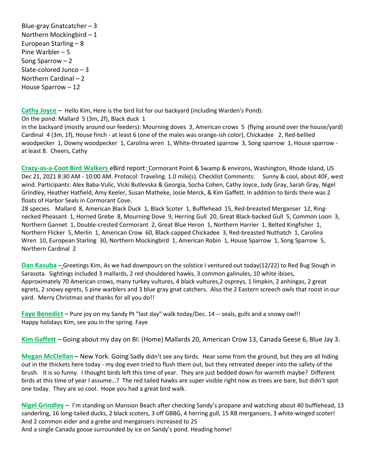Blue-gray Gnatcatcher – 3 Northern Mockingbird – 1 European Starling – 8 Pine Warbler – 5 Song Sparrow – 2 Slate-colored Junco – 3 Northern Cardinal – 2 House Sparrow – 12

**Cathy Joyce** – Hello Kim, Here is the bird list for our backyard (including Warden's Pond):

On the pond: Mallard 5 (3m, 2f), Black duck 1

In the backyard (mostly around our feeders): Mourning doves 3, American crows 5 (flying around over the house/yard) Cardinal 4 (3m, 1f), House finch - at least 6 (one of the males was orange-ish color), Chickadee 2, Red-bellied woodpecker 1, Downy woodpecker 1, Carolina wren 1, White-throated sparrow 3, Song sparrow 1, House sparrow at least 8. Cheers, Cathy

**Crazy-as-a-Coot Bird Walkers** eBird report: Cormorant Point & Swamp & environs, Washington, Rhode Island, US Dec 21, 2021 8:30 AM - 10:00 AM. Protocol: Traveling. 1.0 mile(s). Checklist Comments: Sunny & cool, about 40F, west wind. Participants: Alex Baba-Vulic, Vicki Butlevska & Georgia, Socha Cohen, Cathy Joyce, Judy Gray, Sarah Gray, Nigel Grindley, Heather Hatfield, Amy Keeler, Susan Matheke, Josie Merck, & Kim Gaffett. In addition to birds there was 2 floats of Harbor Seals in Cormorant Cove.

28 species. Mallard 8, American Black Duck 1, Black Scoter 1, Bufflehead 15, Red-breasted Merganser 12, Ringnecked Pheasant 1, Horned Grebe 8, Mourning Dove 9, Herring Gull 20, Great Black-backed Gull 5, Common Loon 3, Northern Gannet 1, Double-crested Cormorant 2, Great Blue Heron 1, Northern Harrier 1, Belted Kingfisher 1, Northern Flicker 5, Merlin 1, American Crow 60, Black-capped Chickadee 3, Red-breasted Nuthatch 1, Carolina Wren 10, European Starling 30, Northern Mockingbird 1, American Robin 1, House Sparrow 1, Song Sparrow 5, Northern Cardinal 2

**Dan Kasuba** – Greetings Kim, As we had downpours on the solstice I ventured out today(12/22) to Red Bug Slough in Sarasota. Sightings included 3 mallards, 2 red shouldered hawks, 3 common galinules, 10 white ibises, Approximately 70 American crows, many turkey vultures, 4 black vultures,2 ospreys, 1 limpkin, 2 anhingas, 2 great egrets, 2 snowy egrets, 5 pine warblers and 3 blue gray gnat catchers. Also the 2 Eastern screech owls that roost in our yard. Merry Christmas and thanks for all you do!!

**Faye Benedict** – Pure joy on my Sandy Pt "last day" walk today/Dec. 14 -- seals, gulls and a snowy owl!! Happy holidays Kim, see you in the spring. Faye

**Kim Gaffett** – Going about my day on BI: (Home) Mallards 20, American Crow 13, Canada Geese 6, Blue Jay 3.

**Megan McClellan** – New York. Going Sadly didn't see any birds. Hear some from the ground, but they are all hiding out in the thickets here today - my dog even tried to flush them out, but they retreated deeper into the safety of the brush. It is so funny. I thought birds left this time of year. They are just bedded down for warmth maybe? Different birds at this time of year I assume…? The red tailed hawks are super visible right now as trees are bare, but didn't spot one today. They are so cool. Hope you had a great bird walk.

**Nigel Grindley** – I'm standing on Mansion Beach after checking Sandy's propane and watching about 40 bufflehead, 13 sanderling, 16 long-tailed ducks, 2 black scoters, 3 off GBBG, 4 herring gull, 15 RB mergansers, 3 white-winged scoter! And 2 common eider and a grebe and mergansers increased to 25

And a single Canada goose surrounded by ice on Sandy's pond. Heading home!